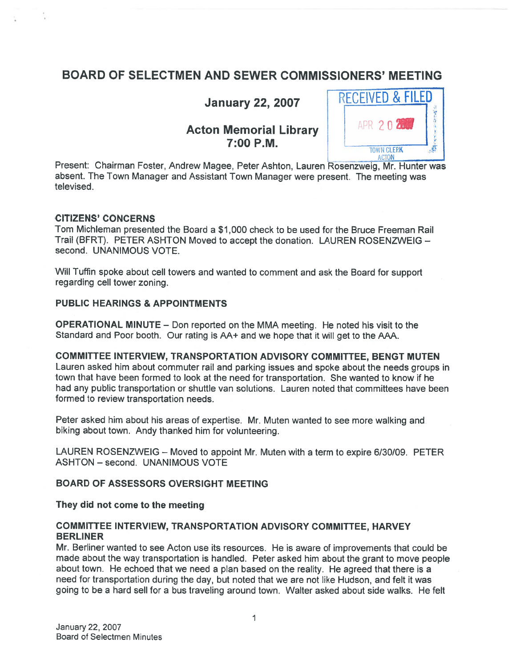# BOARD OF SELECTMEN AND SEWER COMMISSIONERS' MEETING

# Acton Memorial Library 7:00 P.M.



Present: Chairman Foster, Andrew Magee, Peter Ashton, Lauren Rosenzweig, Mr. Hunter was absent. The Town Manager and Assistant Town Manager were present. The meeting was televised.

# CITIZENS' CONCERNS

Tom Michieman presented the Board <sup>a</sup> \$1,000 check to be used for the Bruce Freeman Rail Trail (BERT). PETER ASHTON Moved to accep<sup>t</sup> the donation. LAUREN ROSENZWEIG second. UNANIMOUS VOTE.

Will Tuffin spoke about cell towers and wanted to comment and ask the Board for suppor<sup>t</sup> regarding cell tower zoning.

# PUBLIC HEARINGS & APPOINTMENTS

OPERATIONAL MINUTE — Don reported on the MMA meeting. He noted his visit to the Standard and Poor booth. Our rating is AA+ and we hope that it will ge<sup>t</sup> to the AAA.

# COMMITTEE INTERVIEW, TRANSPORTATION ADVISORY COMMITTEE, BENGT MUTEN

Lauren asked him about commuter rail and parking issues and spoke about the needs groups in town that have been formed to look at the need for transportation. She wanted to know if he had any public transportation or shuttle van solutions. Lauren noted that committees have been formed to review transportation needs.

Peter asked him about his areas of expertise. Mr. Muten wanted to see more walking and biking about town. Andy thanked him for volunteering.

LAUREN ROSENZWEIG — Moved to appoint Mr. Muten with <sup>a</sup> term to expire 6/30/09. PETER ASHTON — second. UNANIMOUS VOTE

# BOARD OF ASSESSORS OVERSIGHT MEETING

# They did not come to the meeting

# COMMITTEE INTERVIEW, TRANSPORTATION ADVISORY COMMITTEE, HARVEY BERLINER

Mr. Berliner wanted to see Acton use its resources. He is aware of improvements that could be made about the way transportation is handled. Peter asked him about the gran<sup>t</sup> to move people about town. He echoed that we need <sup>a</sup> <sup>p</sup>lan based on the reality. He agreed that there is <sup>a</sup> need for transportation during the day, but noted that we are not like Hudson, and felt it was going to be <sup>a</sup> hard sell for <sup>a</sup> bus traveling around town. Walter asked about side walks. He felt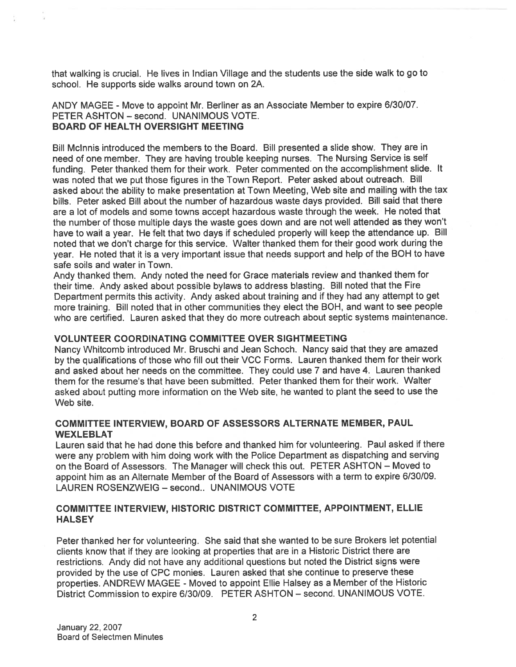that walking is crucial. He lives in Indian Village and the students use the side walk to go to school. He supports side walks around town on 2A.

# ANDY MAGEE - Move to appoint Mr. Berliner as an Associate Member to expire 6/30/07. PETER ASHTON — second. UNANIMOUS VOTE. BOARD OF HEALTH OVERSIGHT MEETING

Bill Mclnnis introduced the members to the Board. Bill presented <sup>a</sup> slide show. They are in need of one member. They are having trouble keeping nurses. The Nursing Service is self funding. Peter thanked them for their work. Peter commented on the accomplishment slide. It was noted that we pu<sup>t</sup> those figures in the Town Report. Peter asked about outreach. Bill asked about the ability to make presentation at Town Meeting, Web site and mailing with the tax bills. Peter asked Bill about the number of hazardous waste days provided. Bill said that there are <sup>a</sup> lot of models and some towns accep<sup>t</sup> hazardous waste through the week. He noted that the number of those multiple days the waste goes down and are not well attended as they won't have to wait <sup>a</sup> year. He felt that two days if scheduled properly will keep the attendance up. Bill noted that we don't charge for this service. Walter thanked them for their good work during the year. He noted that it is <sup>a</sup> very important issue that needs suppor<sup>t</sup> and help of the BOH to have safe soils and water in Town.

Andy thanked them. Andy noted the need for Grace materials review and thanked them for their time. Andy asked about possible bylaws to address blasting. Bill noted that the Fire Department permits this activity. Andy asked about training and if they had any attempt to ge<sup>t</sup> more training. Bill noted that in other communities they elect the BOH, and want to see people who are certified. Lauren asked that they do more outreach about septic systems maintenance.

# VOLUNTEER COORDINATING COMMITTEE OVER SIGHTMEETING

Nancy Whitcomb introduced Mr. Bruschi and Jean Schoch. Nancy said that they are amazed by the qualifications of those who fill out their VCC Forms. Lauren thanked them for their work and asked about her needs on the committee. They could use <sup>7</sup> and have 4. Lauren thanked them for the resume's that have been submitted. Peter thanked them for their work. Walter asked about putting more information on the Web site, he wanted to <sup>p</sup>lant the seed to use the Web site.

# COMMITTEE INTERVIEW, BOARD OF ASSESSORS ALTERNATE MEMBER, PAUL **WEXLEBLAT**

Lauren said that he had done this before and thanked him for volunteering. Paul asked if there were any problem with him doing work with the Police Department as dispatching and serving on the Board of Assessors. The Manager will check this out. PETER ASHTON — Moved to appoint him as an Alternate Member of the Board of Assessors with <sup>a</sup> term to expire 6/30/09. LAUREN ROSENZWEIG — second.. UNANIMOUS VOTE

# COMMITTEE INTERVIEW, HISTORIC DISTRICT COMMITTEE, APPOINTMENT, ELLIE **HALSEY**

Peter thanked her for volunteering. She said that she wanted to be sure Brokers let potential clients know that if they are looking at properties that are in <sup>a</sup> Historic District there are restrictions. Andy did not have any additional questions but noted the District signs were provided by the use of CPC monies. Lauren asked that she continue to preserve these properties. ANDREW MAGEE - Moved to appoint Ellie Halsey as a Member of the Historic District Commission to expire 6/30/09. PETER ASHTON — second. UNANIMOUS VOTE.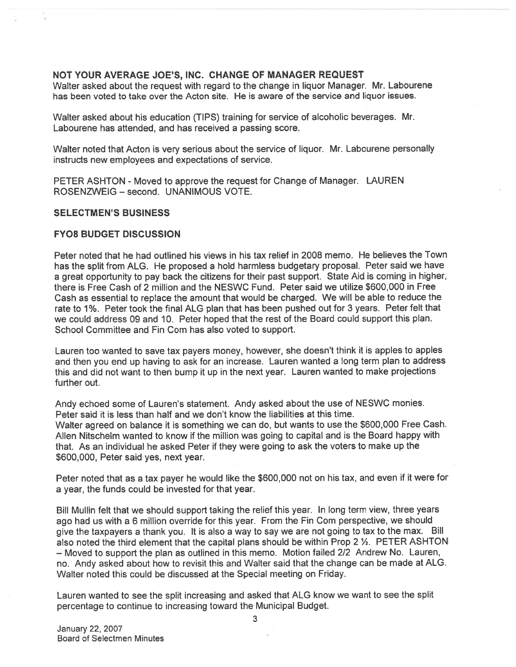## NOT YOUR AVERAGE JOE'S, INC. CHANGE OF MANAGER REQUEST

Walter asked about the reques<sup>t</sup> with regard to the change in liquor Manager. Mr. Labourene has been voted to take over the Acton site. He is aware of the service and liquor issues.

Walter asked about his education (TIPS) training for service of alcoholic beverages. Mr. Labourene has attended, and has received <sup>a</sup> passing score.

Walter noted that Acton is very serious about the service of liquor. Mr. Labourene personally instructs new employees and expectations of service.

PETER ASHTON - Moved to approve the reques<sup>t</sup> for Change of Manager. LAUREN ROSENZWEIG — second. UNANIMOUS VOTE.

## SELECTMEN'S BUSINESS

#### FY08 BUDGET DISCUSSION

Peter noted that he had outlined his views in his tax relief in 2008 memo. He believes the Town has the split from ALG. He propose<sup>d</sup> <sup>a</sup> hold harmless budgetary proposal. Peter said we have <sup>a</sup> grea<sup>t</sup> opportunity to pay back the citizens for their pas<sup>t</sup> support. State Aid is coming in higher, there is Free Cash of 2 million and the NESWC Fund. Peter said we utilize \$600,000 in Free Cash as essential to replace the amount that would be charged. We will be able to reduce the rate to 1%. Peter took the final ALG <sup>p</sup>lan that has been pushed out for 3 years. Peter felt that we could address 09 and 10. Peter hoped that the rest of the Board could suppor<sup>t</sup> this <sup>p</sup>lan. School Committee and Fin Com has also voted to support.

Lauren too wanted to save tax payers money, however, she doesn't think it is apples to apples and then you end up having to ask for an increase. Lauren wanted <sup>a</sup> long term <sup>p</sup>lan to address this and did not want to then bump it up in the next year. Lauren wanted to make projections further out.

Andy echoed some of Lauren's statement. Andy asked about the use of NESWC monies. Peter said it is less than half and we don't know the liabilities at this time. Walter agree<sup>d</sup> on balance it is something we can do, but wants to use the \$600,000 Free Cash. Allen Nitschelm wanted to know if the million was going to capital and is the Board happy with that. As an individual he asked Peter if they were going to ask the voters to make up the \$600,000, Peter said yes, next year.

Peter noted that as <sup>a</sup> tax payer he would like the \$600,000 not on his tax, and even if it were for <sup>a</sup> year, the funds could be invested for that year.

Bill Mullin felt that we should suppor<sup>t</sup> taking the relief this year. In long term view, three years ago had us with a 6 million override for this year. From the Fin Com perspective, we should <sup>g</sup>ive the taxpayers <sup>a</sup> thank you. It is also <sup>a</sup> way to say we are not going to tax to the max. Bill also noted the third element that the capital plans should be within Prop 2 1/2. PETER ASHTON — Moved to suppor<sup>t</sup> the <sup>p</sup>lan as outlined in this memo. Motion failed 2/2 Andrew No. Lauren, no. Andy asked about how to revisit this and Walter said that the change can be made at ALG. Walter noted this could be discussed at the Special meeting on Friday.

Lauren wanted to see the split increasing and asked that ALG know we want to see the split percentage to continue to increasing toward the Municipal Budget.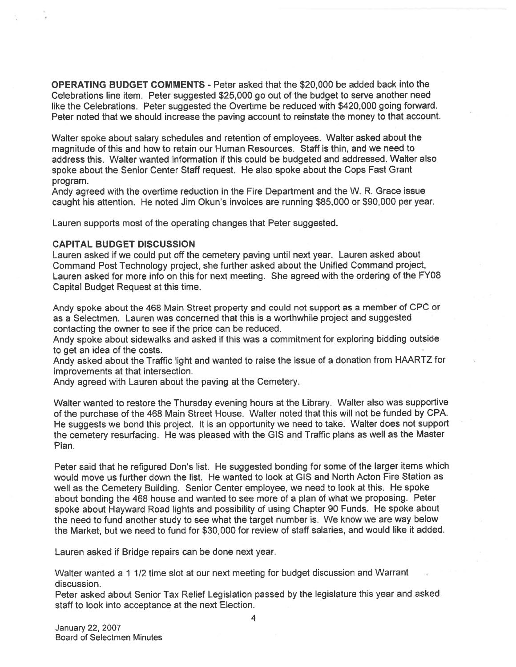OPERATING BUDGET COMMENTS - Peter asked that the \$20,000 be added back into the Celebrations line item. Peter suggested \$25,000 go out of the budget to serve another need like the Celebrations. Peter suggested the Overtime be reduced with \$420,000 going forward. Peter noted that we should increase the paving account to reinstate the money to that account.

Walter spoke about salary schedules and retention of employees. Walter asked about the magnitude of this and how to retain our Human Resources. Staff is thin, and we need to address this. Walter wanted information if this could be budgeted and addressed. Walter also spoke about the Senior Center Staff request. He also spoke about the Cops Fast Grant program.

Andy agreed with the overtime reduction in the Fire Department and the W. R. Grace issue caught his attention. He noted Jim Okun's invoices are running \$85,000 or \$90,000 per year.

Lauren supports most of the operating changes that Peter suggested.

#### CAPITAL BUDGET DISCUSSION

Lauren asked if we could pu<sup>t</sup> off the cemetery paving until next year. Lauren asked about Command Post Technology project, she further asked about the Unified Command project, Lauren asked for more info on this for next meeting. She agreed with the ordering of the FY08 Capital Budget Request at this time.

Andy spoke about the 468 Main Street property and could not suppor<sup>t</sup> as <sup>a</sup> member of CPC or as <sup>a</sup> Selectmen. Lauren was concerned that this is <sup>a</sup> worthwhile project and suggested contacting the owner to see if the price can be reduced.

Andy spoke about sidewalks and asked if this was <sup>a</sup> commitment for exploring bidding outside to ge<sup>t</sup> an idea of the costs.

Andy asked about the Traffic light and wanted to raise the issue of <sup>a</sup> donation from HAARTZ for improvements at that intersection.

Andy agreed with Lauren about the paving at the Cemetery.

Walter wanted to restore the Thursday evening hours at the Library. Walter also was supportive of the purchase of the <sup>468</sup> Main Street House. Walter noted that this will not be funded by CPA. He suggests we bond this project. It is an opportunity we need to take. Walter does not suppor<sup>t</sup> the cemetery resurfacing. He was <sup>p</sup>leased with the GIS and Traffic <sup>p</sup>lans as well as the Master Plan.

Peter said that he refigured Don's list. He suggested bonding for some of the larger items which would move us further down the list. He wanted to look at GIS and North Acton Fire Station as well as the Cemetery Building. Senior Center employee, we need to look at this. He spoke about bonding the 468 house and wanted to see more of <sup>a</sup> <sup>p</sup>lan of what we proposing. Peter spoke about Hayward Road lights and possibility of using Chapter <sup>90</sup> Funds. He spoke about the need to fund another study to see what the target number is. We know we are way below the Market, but we need to fund for \$30,000 for review of staff salaries, and would like it added.

Lauren asked if Bridge repairs can be done next year.

Walter wanted <sup>a</sup> <sup>1</sup> 1/2 time slot at our next meeting for budget discussion and Warrant discussion.

Peter asked about Senior Tax Relief Legislation passed by the legislature this year and asked staff to look into acceptance at the next Election.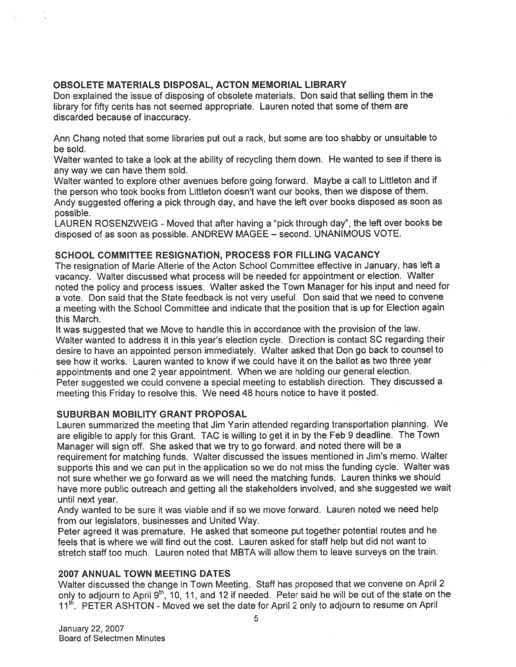# OBSOLETE MATERIALS DISPOSAL, ACTON MEMORIAL LIBRARY

Don explained the issue of disposing of obsolete materials. Don said that selling them in the library for fifty cents has not seemed appropriate. Lauren noted that some of them are discarded because of inaccuracy.

Ann Chang noted that some libraries pu<sup>t</sup> out <sup>a</sup> rack, but some are too shabby or unsuitable to be sold.

Walter wanted to take <sup>a</sup> look at the ability of recycling them down. He wanted to see if there is any way we can have them sold.

Walter wanted to explore other avenues before going forward. Maybe <sup>a</sup> call to Littleton and if the person who took books from Liffleton doesn't want our books, then we dispose of them. Andy suggested offering <sup>a</sup> <sup>p</sup>ick through day, and have the left over books disposed as soon as possible.

LAUREN ROSENZWEIG - Moved that after having a "pick through day", the left over books be disposed of as soon as possible. ANDREW MAGEE — second. UNANIMOUS VOTE.

# SCHOOL COMMITTEE RESIGNATION, PROCESS FOR FILLING VACANCY

The resignation of Marie Alterie of the Acton School Committee effective in January, has left <sup>a</sup> vacancy. Walter discussed what process will be needed for appointment or election. Walter noted the policy and process issues. Walter asked the Town Manager for his input and need for <sup>a</sup> vote. Don said that the State feedback is not very useful. Don said that we need to convene <sup>a</sup> meeting with the School Committee and indicate that the position that is up for Election again this March.

It was suggested that we Move to handle this in accordance with the provision of the law. Walter wanted to address it in this year's election cycle. Direction is contact SC regarding their desire to have an appointed person immediately. Walter asked that Don go back to counsel to see how it works. Lauren wanted to know if we could have it on the ballot as two three year appointments and one <sup>2</sup> year appointment. When we are holding our genera<sup>l</sup> election. Peter suggested we could convene <sup>a</sup> special meeting to establish direction. They discussed <sup>a</sup> meeting this Friday to resolve this. We need <sup>48</sup> hours notice to have it posted.

# SUBURBAN MOBILITY GRANT PROPOSAL

Lauren summarized the meeting that Jim Yarin attended regarding transportation <sup>p</sup>lanning. We are eligible to apply for this Grant. TAC is willing to ge<sup>t</sup> it in by the Feb <sup>9</sup> deadline. The Town Manager will sign off. She asked that we try to go forward, and noted there will be <sup>a</sup> requirement for matching funds. Walter discussed the issues mentioned in Jim's memo. Walter supports this and we can pu<sup>t</sup> in the application so we do not miss the funding cycle. Walter was not sure whether we go forward as we will need the matching funds. Lauren thinks we should have more public outreach and getting all the stakeholders involved, and she suggested we wait until next year.

Andy wanted to be sure it was viable and if so we move forward. Lauren noted we need help from our legislators, businesses and United Way.

Peter agree<sup>d</sup> it was premature. He asked that someone pu<sup>t</sup> together potential routes and he feels that is where we will find out the cost. Lauren asked for staff help but did not want to stretch staff too much. Lauren noted that MBTA will allow them to leave surveys on the train.

# 2007 ANNUAL TOWN MEETING DATES

Walter discussed the change in Town Meeting. Staff has propose<sup>d</sup> that we convene on April <sup>2</sup> only to adjourn to April 9<sup>th</sup>, 10, 11, and 12 if needed. Peter said he will be out of the state on the 11<sup>th</sup>, PETER ASHTON - Moved we set the date for April 2 only to adjourn to resume on April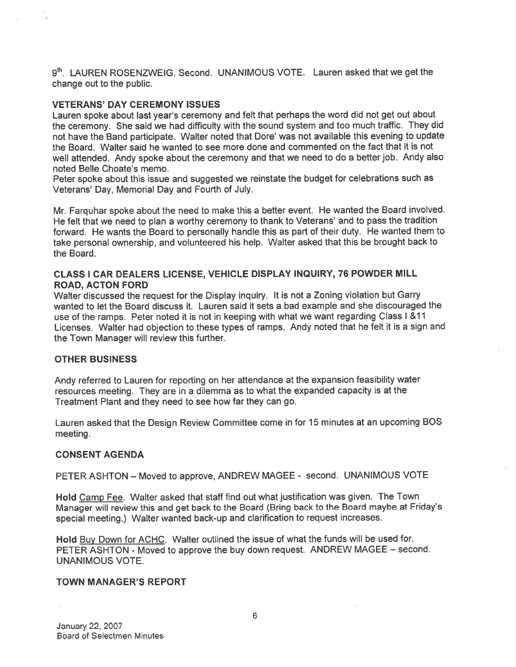$9<sup>th</sup>$ . LAUREN ROSENZWEIG. Second. UNANIMOUS VOTE. Lauren asked that we get the change out to the public.

#### VETERANS' DAY CEREMONY ISSUES

Lauren spoke about last year's ceremony and felt that perhaps the word did not ge<sup>t</sup> out about the ceremony. She said we had difficulty with the sound system and too much traffic. They did not have the Band participate. Walter noted that Dore' was not available this evening to update the Board. Walter said he wanted to see more done and commented on the fact that it is not well attended. Andy spoke about the ceremony and that we need to do <sup>a</sup> better job. Andy also noted Belle Choate's memo.

Peter spoke about this issue and suggested we reinstate the budget for celebrations such as Veterans' Day, Memorial Day and Fourth of July.

Mr. Farquhar spoke about the need to make this <sup>a</sup> better event. He wanted the Board involved. He felt that we need to <sup>p</sup>lan <sup>a</sup> worthy ceremony to thank to Veterans' and to pass the tradition forward. He wants the Board to personally handle this as par<sup>t</sup> of their duty. He wanted them to take persona<sup>l</sup> ownership, and volunteered his help. Walter asked that this be brought back to the Board.

## CLASS I CAR DEALERS LICENSE, VEHICLE DISPLAY INQUIRY, 76 POWDER MILL ROAD, ACTON FORD

Walter discussed the reques<sup>t</sup> for the Display inquiry. It is not <sup>a</sup> Zoning violation but Garry wanted to let the Board discuss it. Lauren said it sets <sup>a</sup> bad example and she discouraged the use of the ramps. Peter noted it is not in keeping with what we want regarding Class I &11 Licenses. Walter had objection to these types of ramps. Andy noted that he felt it is <sup>a</sup> sign and the Town Manager will review this further.

#### OTHER BUSINESS

Andy referred to Lauren for reporting on her attendance at the expansion feasibility water resources meeting. They are in <sup>a</sup> dilemma as to what the expanded capacity is at the Treatment Plant and they need to see how far they can go.

Lauren asked that the Design Review Committee come in for <sup>15</sup> minutes at an upcoming BOS meeting.

#### CONSENT AGENDA

PETER ASHTON — Moved to approve, ANDREW MAGEE - second. UNANIMOUS VOTE

Hold Camp Fee. Walter asked that staff find out what justification was <sup>g</sup>iven. The Town Manager will review this and ge<sup>t</sup> back to the Board (Bring back to the Board maybe at Friday's special meeting.) Walter wanted back-up and clarification to reques<sup>t</sup> increases.

Hold Buy Down for ACHC. Walter outlined the issue of what the funds will be used for. PETER ASHTON - Moved to approve the buy down request. ANDREW MAGEE — second. UNANIMOUS VOTE.

#### TOWN MANAGER'S REPORT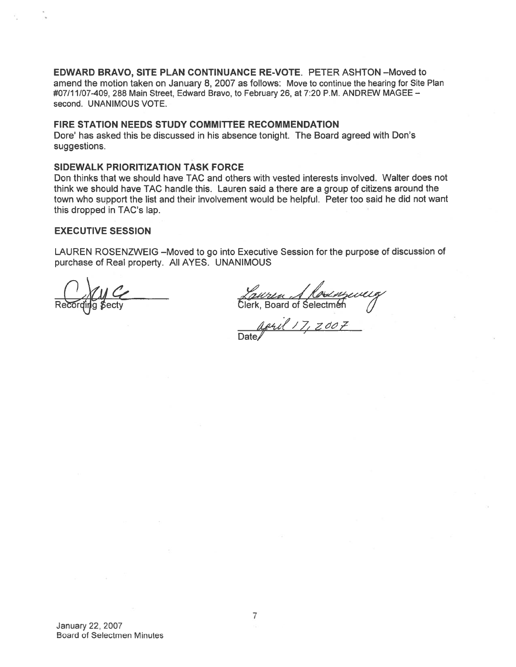EDWARD BRAVO, SITE PLAN CONTINUANCE RE-VOTE. PETER ASHTON —Moved to amend the motion taken on January 8, 2007 as follows: Move to continue the hearing for Site Plan #07/11/07-409, 288 Main Street, Edward Bravo, to February 26, at 7:20 P.M. ANDREW MAGEE second. UNANIMOUS VOTE.

#### FIRE STATION NEEDS STUDY COMMITTEE RECOMMENDATION

Dore' has asked this be discussed in his absence tonight. The Board agreed with Don's suggestions.

## SIDEWALK PRIORITIZATION TASK FORCE

Don thinks that we should have TAC and others with vested interests involved. WaIter does not think we should have TAC handle this. Lauren said <sup>a</sup> there are <sup>a</sup> group of citizens around the town who suppor<sup>t</sup> the list and their involvement would be helpful. Peter too said he did not want this dropped in TAC's lap.

## EXECUTIVE SESSION

LAUREN ROSENZWEIG —Moved to go into Executive Session for the purpose of discussion of purchase of Real property. All AYES. UNANIMOUS

<u>Lauren A Rosemp</u>eveig<br>Clerk, Board of Selectmen

april 17, 2007 Date/

January 22, 2007 Board of Selectmen Minutes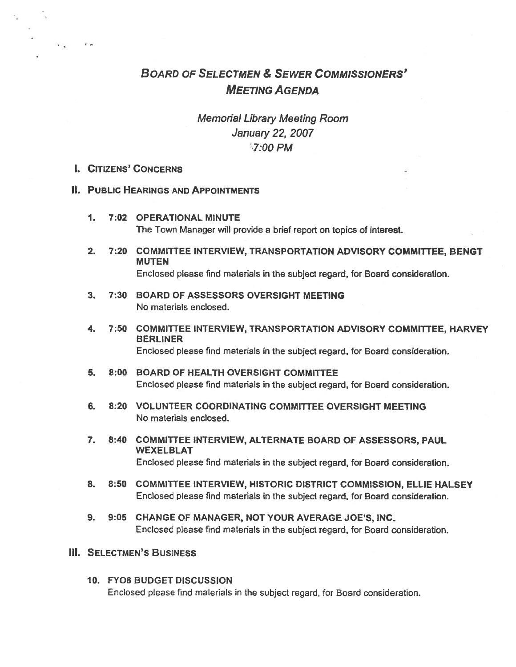# BOARD OF SELECTMEN & SEWER COMMISSIONERS' MEETING AGENDA

# Memorial Library Meeting Room January 22, 2007 7:00 PM

# I. CITIZENS' CONCERNS

#### II. PUBLIC HEARINGS AND APPOINTMENTS

- 1. 7:02 OPERATIONAL MINUTE The Town Manager will provide <sup>a</sup> brief repor<sup>t</sup> on topics of interest.
- 2. 7:20 COMMITTEE INTERVIEW, TRANSPORTATION ADVISORY COMMITTEE, EENGT MUTEN Enclosed please find materials in the subject regard, for Board consideration.
- 3. 7:30 BOARD OF ASSESSORS OVERSIGHT MEETING No materials enclosed.
- 4. 7:50 COMMITTEE INTERVIEW, TRANSPORTATION ADVISORY COMMITTEE, HARVEY BERLINER Enclosed please find materials in the subject regard, for Board consideration.
- 5. 8:00 BOARD OF HEALTH OVERSIGHT COMMITTEE Enclosed please find materials in the subject regard, for Board consideration.
- 6. 8:20 VOLUNTEER COORDINATING COMMITTEE OVERSIGHT MEETING No materials enclosed.
- 7. 8:40 COMMITTEE INTERVIEW, ALTERNATE BOARD OF ASSESSORS, PAUL WEXELBLAT Enclosed please find materials in the subject regard, for Board consideration.
- 8. 8:50 COMMITTEE INTERVIEW, HISTORIC DISTRICT COMMISSION, ELLIE HALSEY Enclosed please find materials in the subject regard, for Board consideration.
- 9. 9:05 CHANGE OF MANAGER, NOT YOUR AVERAGE JOE'S, INC. Enclosed please find materials in the subject regard, for Board consideration.
- Ill. SELECTMEN'S BUSINESS
	- 10. FY08 BUDGET DISCUSSION Enclosed please find materials in the subject regard, for Board consideration.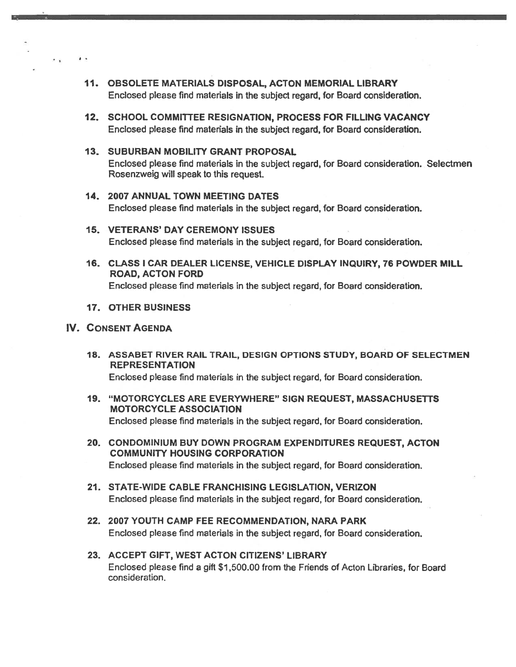- 11. OBSOLETE MATERIALS DISPOSAL, ACTON MEMORIAL LIBRARY Enclosed please find materials in the subject regard, for Board consideration.
- 12. SCHOOL COMMITTEE RESIGNATION, PROCESS FOR FILLING VACANCY Enclosed please find materials in the subject regard, for Board consideration.
- 13. SUBURBAN MOBILITY GRANT PROPOSAL Enclosed please find materials in the subject regard, for Board consideration. Selectmen Rosenzweig will speak to this request.
- 14. 2007 ANNUAL TOWN MEETING DATES Enclosed please find materials in the subject regard, for Board consideration.
- 15. VETERANS' DAY CEREMONY ISSUES Enclosed please find materials in the subject regard, for Board consideration.
- 16. CLASS I CAR DEALER LICENSE, VEHICLE DISPLAY INQUIRY, 76 POWDER MILL ROAD, ACTON FORD Enclosed please find materials in the subject regard, for Board consideration.
- 17. OTHER BUSINESS

## IV. CONSENT AGENDA

18. ASSABET RIVER RAIL TRAIL, DESIGN OPTIONS STUDY, BOARD OF SELECTMEN REPRESENTATION

Enclosed please find materials in the subject regard, for Board consideration.

- 19. "MOTORCYCLES ARE EVERYWHERE" SIGN REQUEST, MASSACHUSETTS MOTORCYCLE ASSOCIATION Enclosed please find materials in the subject regard, for Board consideration.
- 20. CONDOMINIUM BUY DOWN PROGRAM EXPENDITURES REQUEST, ACTON COMMUNITY HOUSING CORPORATION Enclosed <sup>p</sup>lease find materials in the subject regard, for Board consideration.
- 21. STATE-WIDE CABLE FRANCHISING LEGISLATION, VERIZON Enclosed please find materials in the subject regard, for Board consideration.
- 22. 2007 YOUTH CAMP FEE RECOMMENDATION, NARA PARK Enclosed please find materials in the subject regard, for Board consideration.
- 23. ACCEPT GIFT, WEST ACION CITIZENS' LIBRARY Enclosed please find <sup>a</sup> gift \$1 ,500.OO from the Friends of Acton Libraries, for Board consideration.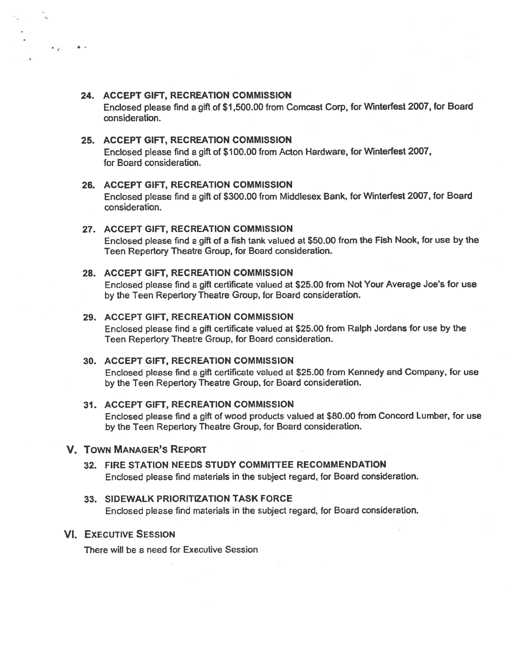## 24. ACCEPT GIFT, RECREATION COMMISSION

 $\ddot{\phantom{a}}$ 

Enclosed <sup>p</sup>lease find <sup>a</sup> <sup>g</sup>ift of \$1,500.00 from Comcast Corn, for Winterfest 2007, for Board consideration.

## 25. ACCEPT GIFT, RECREATiON COMMISSION

Enclosed <sup>p</sup>lease find <sup>a</sup> <sup>g</sup>ift of \$100.00 from Acton Hardware, for Winterlest 2007, for Board consideration.

#### 26. ACCEPT GIFT, RECREATION COMMISSION

Enclosed <sup>p</sup>lease find <sup>a</sup> <sup>g</sup>ift of \$300.00 from Middlesex Bank, for Winterfest 2007, for Board consideration.

#### 27. ACCEPT GIFT, RECREATION COMMISSION

Enclosed <sup>p</sup>lease find <sup>a</sup> <sup>g</sup>ift of <sup>a</sup> fish tank valued at \$50.00 from the Fish Nook, for use by the Teen Repertory Theatre Group, for Board consideration.

#### 28. ACCEPT GIFT, RECREATION COMMISSION

Enclosed <sup>p</sup>lease find <sup>a</sup> gift certificate valued at \$25.00 from Not Your Average Joe's for use by the Teen Repertory Theatre Group, for Board consideration.

#### 29. ACCEPT GIFT, RECREATION COMMISSION

Enclosed please find <sup>a</sup> gift certificate valued at \$25.00 from Ralph Jordans for use by the Teen Repertory Theatre Group, for Board consideration.

### 30. ACCEPT GIFT, RECREATION COMMISSION

Enclosed <sup>p</sup>lease find <sup>a</sup> <sup>g</sup>ift certificate valued at \$25.00 from Kennedy and Company, for use by the Teen Repertory Theatre Group, for Board consideration.

#### 31. ACCEPT GIFT, RECREATION COMMISSION

Enclosed please find <sup>a</sup> gift of wood products valued at \$80.00 from Concord Lumber, for use by the Teen Repertory Theatre Group, for Board consideration.

# V. TOWN MANAGER'S REPORT

# 32. FIRE STATION NEEDS STUDY COMMITTEE RECOMMENDATION Enclosed please find materials in the subject regard, for Board consideration.

# 33. SIDEWALK PRIORITIZATION TASK FORCE Enclosed <sup>p</sup>lease find materials in the subject regard, for Board consideration.

#### VI. EXECUTIVE SESSION

There will be <sup>a</sup> need for Executive Session